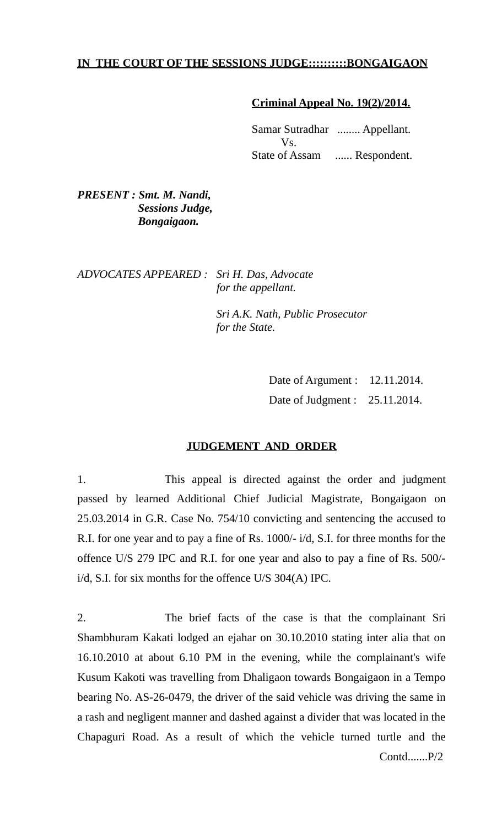## **IN THE COURT OF THE SESSIONS JUDGE::::::::::BONGAIGAON**

## **Criminal Appeal No. 19(2)/2014.**

Samar Sutradhar ........ Appellant. Vs. State of Assam ...... Respondent.

*PRESENT : Smt. M. Nandi, Sessions Judge, Bongaigaon.*

*ADVOCATES APPEARED : Sri H. Das, Advocate for the appellant.*

> *Sri A.K. Nath, Public Prosecutor for the State.*

> > Date of Argument : 12.11.2014. Date of Judgment : 25.11.2014.

## **JUDGEMENT AND ORDER**

1. This appeal is directed against the order and judgment passed by learned Additional Chief Judicial Magistrate, Bongaigaon on 25.03.2014 in G.R. Case No. 754/10 convicting and sentencing the accused to R.I. for one year and to pay a fine of Rs. 1000/- i/d, S.I. for three months for the offence U/S 279 IPC and R.I. for one year and also to pay a fine of Rs. 500/ i/d, S.I. for six months for the offence U/S 304(A) IPC.

2. The brief facts of the case is that the complainant Sri Shambhuram Kakati lodged an ejahar on 30.10.2010 stating inter alia that on 16.10.2010 at about 6.10 PM in the evening, while the complainant's wife Kusum Kakoti was travelling from Dhaligaon towards Bongaigaon in a Tempo bearing No. AS-26-0479, the driver of the said vehicle was driving the same in a rash and negligent manner and dashed against a divider that was located in the Chapaguri Road. As a result of which the vehicle turned turtle and the Contd.......P/2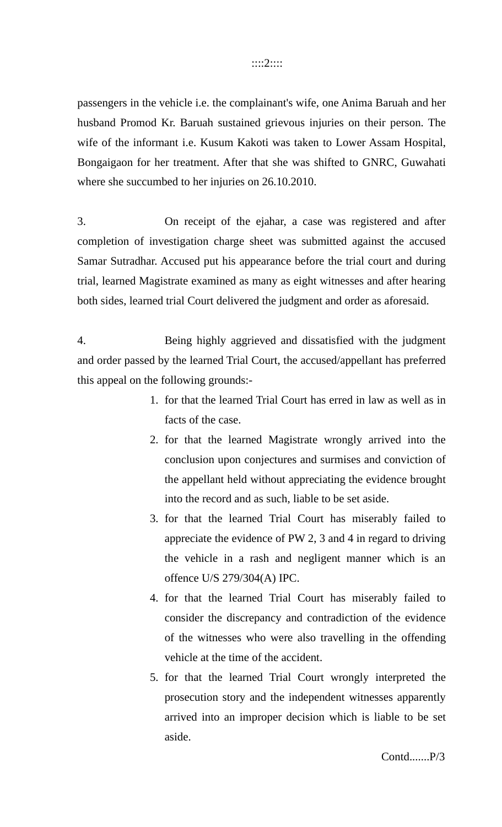#### ::::2::::

passengers in the vehicle i.e. the complainant's wife, one Anima Baruah and her husband Promod Kr. Baruah sustained grievous injuries on their person. The wife of the informant i.e. Kusum Kakoti was taken to Lower Assam Hospital, Bongaigaon for her treatment. After that she was shifted to GNRC, Guwahati where she succumbed to her injuries on 26.10.2010.

3. On receipt of the ejahar, a case was registered and after completion of investigation charge sheet was submitted against the accused Samar Sutradhar. Accused put his appearance before the trial court and during trial, learned Magistrate examined as many as eight witnesses and after hearing both sides, learned trial Court delivered the judgment and order as aforesaid.

4. Being highly aggrieved and dissatisfied with the judgment and order passed by the learned Trial Court, the accused/appellant has preferred this appeal on the following grounds:-

- 1. for that the learned Trial Court has erred in law as well as in facts of the case.
- 2. for that the learned Magistrate wrongly arrived into the conclusion upon conjectures and surmises and conviction of the appellant held without appreciating the evidence brought into the record and as such, liable to be set aside.
- 3. for that the learned Trial Court has miserably failed to appreciate the evidence of PW 2, 3 and 4 in regard to driving the vehicle in a rash and negligent manner which is an offence U/S 279/304(A) IPC.
- 4. for that the learned Trial Court has miserably failed to consider the discrepancy and contradiction of the evidence of the witnesses who were also travelling in the offending vehicle at the time of the accident.
- 5. for that the learned Trial Court wrongly interpreted the prosecution story and the independent witnesses apparently arrived into an improper decision which is liable to be set aside.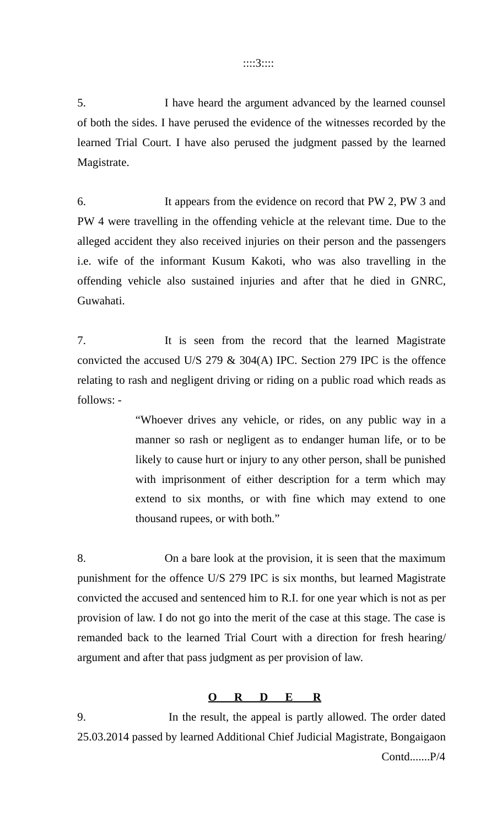### ::::3::::

5. I have heard the argument advanced by the learned counsel of both the sides. I have perused the evidence of the witnesses recorded by the learned Trial Court. I have also perused the judgment passed by the learned Magistrate.

6. It appears from the evidence on record that PW 2, PW 3 and PW 4 were travelling in the offending vehicle at the relevant time. Due to the alleged accident they also received injuries on their person and the passengers i.e. wife of the informant Kusum Kakoti, who was also travelling in the offending vehicle also sustained injuries and after that he died in GNRC, Guwahati.

7. It is seen from the record that the learned Magistrate convicted the accused U/S 279 & 304(A) IPC. Section 279 IPC is the offence relating to rash and negligent driving or riding on a public road which reads as follows: -

> "Whoever drives any vehicle, or rides, on any public way in a manner so rash or negligent as to endanger human life, or to be likely to cause hurt or injury to any other person, shall be punished with imprisonment of either description for a term which may extend to six months, or with fine which may extend to one thousand rupees, or with both."

8. On a bare look at the provision, it is seen that the maximum punishment for the offence U/S 279 IPC is six months, but learned Magistrate convicted the accused and sentenced him to R.I. for one year which is not as per provision of law. I do not go into the merit of the case at this stage. The case is remanded back to the learned Trial Court with a direction for fresh hearing/ argument and after that pass judgment as per provision of law.

# **O R D E R**

9. In the result, the appeal is partly allowed. The order dated 25.03.2014 passed by learned Additional Chief Judicial Magistrate, Bongaigaon Contd.......P/4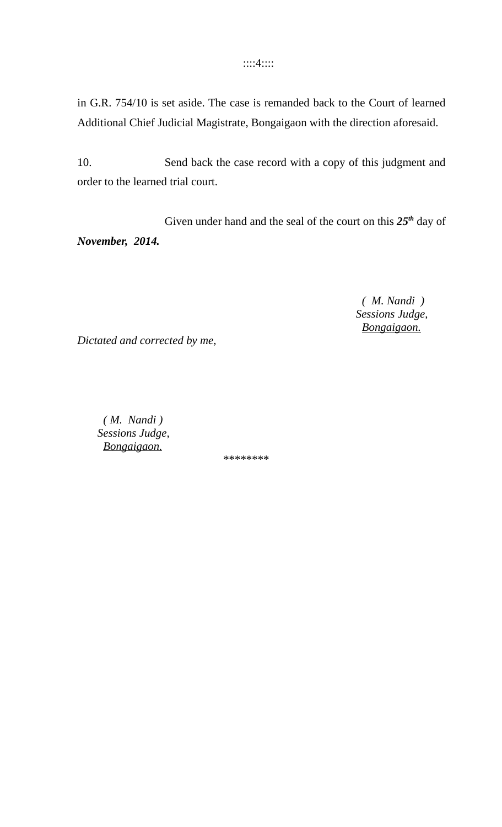::::4::::

in G.R. 754/10 is set aside. The case is remanded back to the Court of learned Additional Chief Judicial Magistrate, Bongaigaon with the direction aforesaid.

10. Send back the case record with a copy of this judgment and order to the learned trial court.

Given under hand and the seal of the court on this *25th* day of *November, 2014.*

> *( M. Nandi ) Sessions Judge, Bongaigaon.*

*Dictated and corrected by me,*

 *( M. Nandi ) Sessions Judge, Bongaigaon.* 

*\*\*\*\*\*\*\*\**